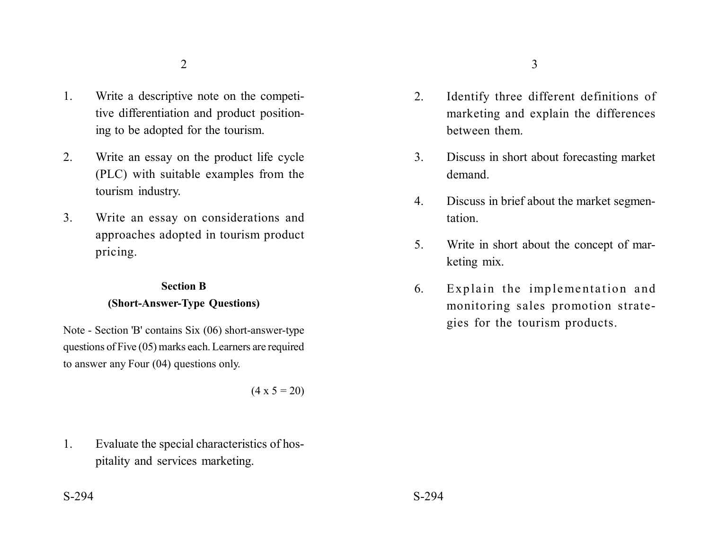- 1. Write a descriptive note on the competitive differentiation and product positioning to be adopted for the tourism.
- 2. Write an essay on the product life cycle (PLC) with suitable examples from the tourism industry.
- 3. Write an essay on considerations and approaches adopted in tourism product pricing.

## **Section B**

### **(Short-Answer-Type Questions)**

Note - Section 'B' contains Six (06) short-answer-type questions of Five (05) marks each. Learners are required to answer any Four (04) questions only.

 $(4 \times 5 = 20)$ 

1. Evaluate the special characteristics of hospitality and services marketing.

- 2. Identify three different definitions of
- marketing and explain the differences between them.
- 3. Discuss in short about forecasting market demand.
- 4. Discuss in brief about the market segmentation.
- 5. Write in short about the concept of marketing mix.
- 6. Explain the implementation and monitoring sales promotion strategies for the tourism products.